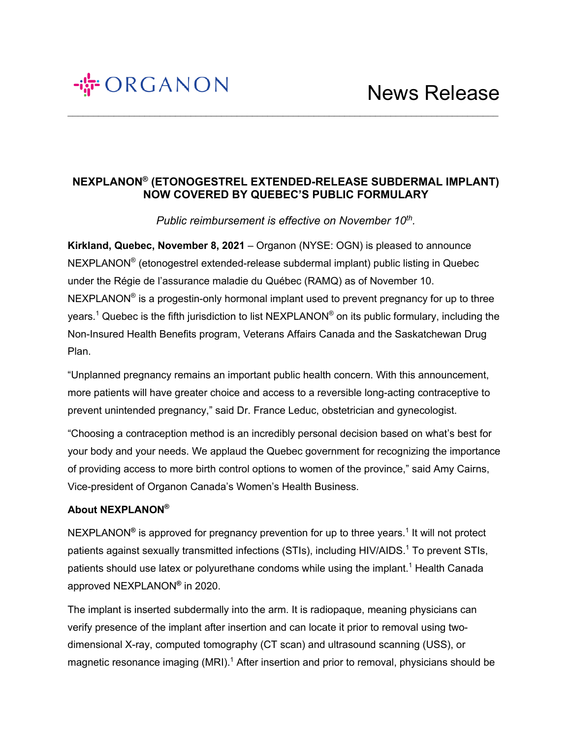# 

## **NEXPLANON® (ETONOGESTREL EXTENDED-RELEASE SUBDERMAL IMPLANT) NOW COVERED BY QUEBEC'S PUBLIC FORMULARY**

 $\mathcal{L}_\mathcal{L} = \{ \mathcal{L}_\mathcal{L} = \{ \mathcal{L}_\mathcal{L} = \{ \mathcal{L}_\mathcal{L} = \{ \mathcal{L}_\mathcal{L} = \{ \mathcal{L}_\mathcal{L} = \{ \mathcal{L}_\mathcal{L} = \{ \mathcal{L}_\mathcal{L} = \{ \mathcal{L}_\mathcal{L} = \{ \mathcal{L}_\mathcal{L} = \{ \mathcal{L}_\mathcal{L} = \{ \mathcal{L}_\mathcal{L} = \{ \mathcal{L}_\mathcal{L} = \{ \mathcal{L}_\mathcal{L} = \{ \mathcal{L}_\mathcal{$ 

*Public reimbursement is effective on November 10th.*

**Kirkland, Quebec, November 8, 2021** – Organon (NYSE: OGN) is pleased to announce NEXPLANON® (etonogestrel extended-release subdermal implant) public listing in Quebec under the Régie de l'assurance maladie du Québec (RAMQ) as of November 10.  $NEXPLANON<sup>®</sup>$  is a progestin-only hormonal implant used to prevent pregnancy for up to three years.<sup>1</sup> Quebec is the fifth jurisdiction to list NEXPLANON® on its public formulary, including the Non-Insured Health Benefits program, Veterans Affairs Canada and the Saskatchewan Drug Plan.

"Unplanned pregnancy remains an important public health concern. With this announcement, more patients will have greater choice and access to a reversible long-acting contraceptive to prevent unintended pregnancy," said Dr. France Leduc, obstetrician and gynecologist.

"Choosing a contraception method is an incredibly personal decision based on what's best for your body and your needs. We applaud the Quebec government for recognizing the importance of providing access to more birth control options to women of the province," said Amy Cairns, Vice-president of Organon Canada's Women's Health Business.

### **About NEXPLANON®**

NEXPLANON<sup>®</sup> is approved for pregnancy prevention for up to three years.<sup>1</sup> It will not protect patients against sexually transmitted infections (STIs), including HIV/AIDS.<sup>1</sup> To prevent STIs, patients should use latex or polyurethane condoms while using the implant.<sup>1</sup> Health Canada approved NEXPLANON**®** in 2020.

The implant is inserted subdermally into the arm. It is radiopaque, meaning physicians can verify presence of the implant after insertion and can locate it prior to removal using twodimensional X-ray, computed tomography (CT scan) and ultrasound scanning (USS), or magnetic resonance imaging  $(MRI)$ <sup>1</sup> After insertion and prior to removal, physicians should be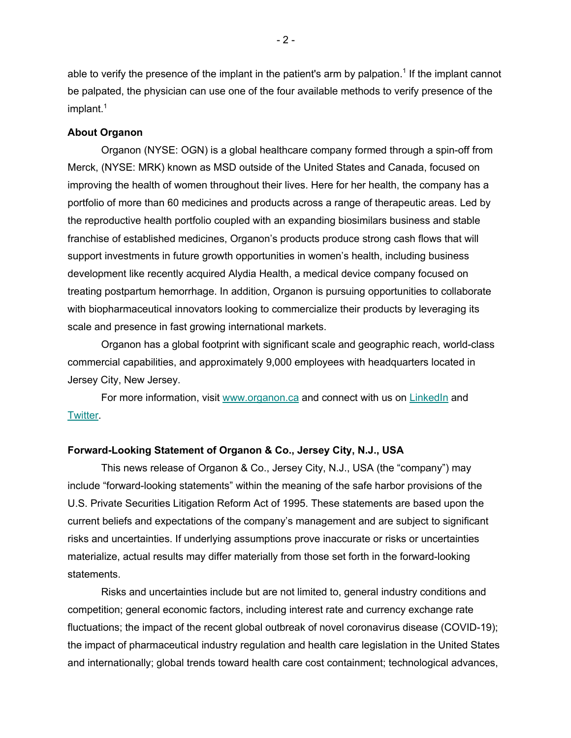able to verify the presence of the implant in the patient's arm by palpation.<sup>1</sup> If the implant cannot be palpated, the physician can use one of the four available methods to verify presence of the implant.<sup>1</sup>

#### **About Organon**

Organon (NYSE: OGN) is a global healthcare company formed through a spin-off from Merck, (NYSE: MRK) known as MSD outside of the United States and Canada, focused on improving the health of women throughout their lives. Here for her health, the company has a portfolio of more than 60 medicines and products across a range of therapeutic areas. Led by the reproductive health portfolio coupled with an expanding biosimilars business and stable franchise of established medicines, Organon's products produce strong cash flows that will support investments in future growth opportunities in women's health, including business development like recently acquired Alydia Health, a medical device company focused on treating postpartum hemorrhage. In addition, Organon is pursuing opportunities to collaborate with biopharmaceutical innovators looking to commercialize their products by leveraging its scale and presence in fast growing international markets.

Organon has a global footprint with significant scale and geographic reach, world-class commercial capabilities, and approximately 9,000 employees with headquarters located in Jersey City, New Jersey.

For more information, visit www.organon.ca and connect with us on LinkedIn and Twitter.

#### **Forward-Looking Statement of Organon & Co., Jersey City, N.J., USA**

This news release of Organon & Co., Jersey City, N.J., USA (the "company") may include "forward-looking statements" within the meaning of the safe harbor provisions of the U.S. Private Securities Litigation Reform Act of 1995. These statements are based upon the current beliefs and expectations of the company's management and are subject to significant risks and uncertainties. If underlying assumptions prove inaccurate or risks or uncertainties materialize, actual results may differ materially from those set forth in the forward-looking statements.

Risks and uncertainties include but are not limited to, general industry conditions and competition; general economic factors, including interest rate and currency exchange rate fluctuations; the impact of the recent global outbreak of novel coronavirus disease (COVID-19); the impact of pharmaceutical industry regulation and health care legislation in the United States and internationally; global trends toward health care cost containment; technological advances,